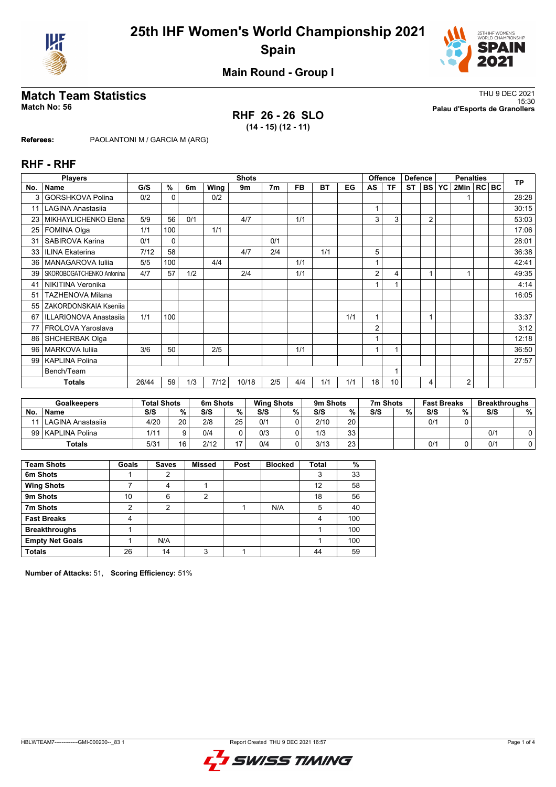



**Main Round - Group I**

## **RHF 26 - 26 SLO (14 - 15) (12 - 11)**

**Match Team Statistics** Thu 9 DEC 2021 15:30 **Match No: 56 Palau d'Esports de Granollers**

**Referees:** PAOLANTONI M / GARCIA M (ARG)

## **RHF - RHF**

|                 | <b>Players</b>            |       |              |     |      | <b>Shots</b> |                |           |           |     |              | <b>Offence</b> | <b>Defence</b> |                |           | <b>Penalties</b> |  | <b>TP</b> |
|-----------------|---------------------------|-------|--------------|-----|------|--------------|----------------|-----------|-----------|-----|--------------|----------------|----------------|----------------|-----------|------------------|--|-----------|
| No.             | <b>Name</b>               | G/S   | %            | 6m  | Wing | 9m           | 7 <sub>m</sub> | <b>FB</b> | <b>BT</b> | EG  | AS           | <b>TF</b>      | <b>ST</b>      | <b>BS</b>      | <b>YC</b> | 2Min   RC BC     |  |           |
|                 | <b>GORSHKOVA Polina</b>   | 0/2   | $\Omega$     |     | 0/2  |              |                |           |           |     |              |                |                |                |           |                  |  | 28:28     |
| 11              | <b>LAGINA Anastasija</b>  |       |              |     |      |              |                |           |           |     |              |                |                |                |           |                  |  | 30:15     |
| 23              | MIKHAYLICHENKO Elena      | 5/9   | 56           | 0/1 |      | 4/7          |                | 1/1       |           |     | 3            | 3              |                | $\overline{2}$ |           |                  |  | 53:03     |
| 25              | FOMINA Olga               | 1/1   | 100          |     | 1/1  |              |                |           |           |     |              |                |                |                |           |                  |  | 17:06     |
| 31              | SABIROVA Karina           | 0/1   | $\mathbf{0}$ |     |      |              | 0/1            |           |           |     |              |                |                |                |           |                  |  | 28:01     |
| 33              | <b>ILINA Ekaterina</b>    | 7/12  | 58           |     |      | 4/7          | 2/4            |           | 1/1       |     | 5            |                |                |                |           |                  |  | 36:38     |
| 36 <sup>1</sup> | MANAGAROVA Iuliia         | 5/5   | 100          |     | 4/4  |              |                | 1/1       |           |     |              |                |                |                |           |                  |  | 42:41     |
| 39 <sup>°</sup> | SKOROBOGATCHENKO Antonina | 4/7   | 57           | 1/2 |      | 2/4          |                | 1/1       |           |     | 2            | 4              |                |                |           |                  |  | 49:35     |
| 41              | <b>NIKITINA Veronika</b>  |       |              |     |      |              |                |           |           |     |              |                |                |                |           |                  |  | 4:14      |
| 51              | <b>TAZHENOVA Milana</b>   |       |              |     |      |              |                |           |           |     |              |                |                |                |           |                  |  | 16:05     |
| 55              | ZAKORDONSKAIA Kseniia     |       |              |     |      |              |                |           |           |     |              |                |                |                |           |                  |  |           |
| 67              | ILLARIONOVA Anastasiia    | 1/1   | 100          |     |      |              |                |           |           | 1/1 | 1            |                |                |                |           |                  |  | 33:37     |
| 77              | FROLOVA Yaroslava         |       |              |     |      |              |                |           |           |     | 2            |                |                |                |           |                  |  | 3:12      |
| 86              | SHCHERBAK Olga            |       |              |     |      |              |                |           |           |     |              |                |                |                |           |                  |  | 12:18     |
| 96              | MARKOVA Iuliia            | 3/6   | 50           |     | 2/5  |              |                | 1/1       |           |     | $\mathbf{1}$ |                |                |                |           |                  |  | 36:50     |
| $99 \mid$       | <b>KAPLINA Polina</b>     |       |              |     |      |              |                |           |           |     |              |                |                |                |           |                  |  | 27:57     |
|                 | Bench/Team                |       |              |     |      |              |                |           |           |     |              |                |                |                |           |                  |  |           |
|                 | <b>Totals</b>             | 26/44 | 59           | 1/3 | 7/12 | 10/18        | 2/5            | 4/4       | 1/1       | 1/1 | 18           | 10             |                | 4              |           | $\overline{2}$   |  |           |

|    | <b>Goalkeepers</b>  | <b>Total Shots</b> |                 | 6m Shots |    | <b>Wing Shots</b> |   | 9m Shots |    | 7m Shots |   | <b>Fast Breaks</b> |   | <b>Breakthroughs</b> |   |
|----|---------------------|--------------------|-----------------|----------|----|-------------------|---|----------|----|----------|---|--------------------|---|----------------------|---|
| No | <b>Name</b>         | S/S                | %               | S/S      | %  | S/S               | % | S/S      | %  | S/S      | % | S/S                | % | S/S                  | % |
|    | l LAGINA Anastasija | 4/20               | 20 <sub>1</sub> | 2/8      | 25 | 0/1               |   | 2/10     | 20 |          |   | 0/1                |   |                      |   |
|    | 99   KAPLINA Polina | 1/11               |                 | 0/4      |    | 0/3               |   | 1/3      | 33 |          |   |                    |   | 0/1                  |   |
|    | Totals              | 5/31               | 16              | 2/12     |    | 0/4               |   | 3/13     | 23 |          |   | 0/2                |   | 0/1                  |   |

| <b>Team Shots</b>      | Goals | <b>Saves</b> | <b>Missed</b> | Post | <b>Blocked</b> | <b>Total</b> | %   |
|------------------------|-------|--------------|---------------|------|----------------|--------------|-----|
| 6m Shots               |       | 2            |               |      |                | 3            | 33  |
| <b>Wing Shots</b>      |       | 4            |               |      |                | 12           | 58  |
| 9m Shots               | 10    | 6            | 2             |      |                | 18           | 56  |
| 7m Shots               | 2     | 2            |               |      | N/A            | 5            | 40  |
| <b>Fast Breaks</b>     | 4     |              |               |      |                | 4            | 100 |
| <b>Breakthroughs</b>   |       |              |               |      |                |              | 100 |
| <b>Empty Net Goals</b> |       | N/A          |               |      |                |              | 100 |
| <b>Totals</b>          | 26    | 14           | 3             |      |                | 44           | 59  |

**Number of Attacks:** 51, **Scoring Efficiency:** 51%

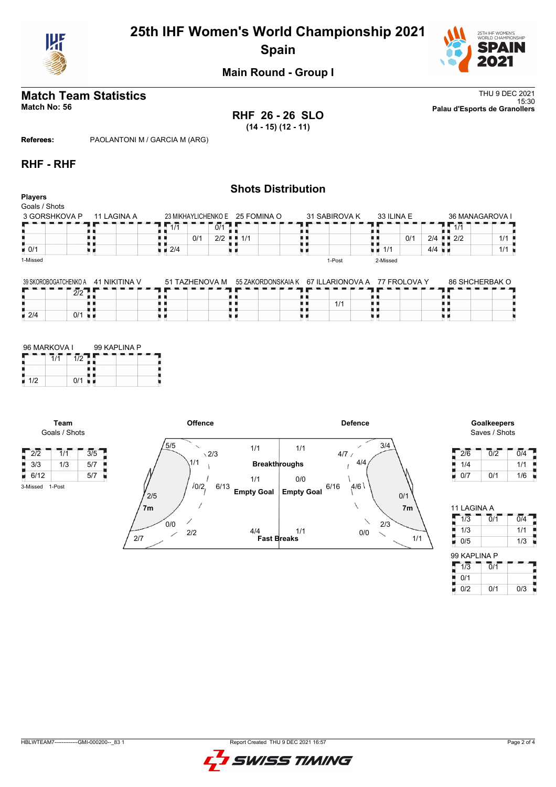

# **25th IHF Women's World Championship 2021 Spain**



## **Main Round - Group I**

**RHF 26 - 26 SLO (14 - 15) (12 - 11)**

**Match Team Statistics** Thu 9 DEC 2021 15:30 **Match No: 56 Palau d'Esports de Granollers**

**Referees:** PAOLANTONI M / GARCIA M (ARG)

## **RHF - RHF**

| <b>Players</b><br>Goals / Shots |             |                                   |     |     | <b>Shots Distribution</b>       |               |     |            |     |                      |                                   |                 |
|---------------------------------|-------------|-----------------------------------|-----|-----|---------------------------------|---------------|-----|------------|-----|----------------------|-----------------------------------|-----------------|
| 3 GORSHKOVA P                   | 11 LAGINA A |                                   |     |     | 23 MIKHAYLICHENKO E 25 FOMINA O | 31 SABIROVA K |     | 33 ILINA E |     |                      |                                   | 36 MANAGAROVA I |
|                                 |             | 1/1                               |     | 0/1 |                                 |               |     |            |     |                      | 1/1                               |                 |
|                                 |             |                                   | 0/1 |     | $2/2$ $\blacksquare$ 1/1        |               |     |            | 0/1 | 2/4                  | $\blacksquare$ $\blacksquare$ 2/2 | 1/1             |
| $\blacksquare$ 0/1              |             | $\blacksquare$ $\blacksquare$ 2/4 |     |     |                                 |               | u a | 1/1        |     | $4/4$ $\blacksquare$ |                                   | 1/1             |
| 1-Missed                        |             |                                   |     |     |                                 | 1-Post        |     | 2-Missed   |     |                      |                                   |                 |
|                                 |             |                                   |     |     |                                 |               |     |            |     |                      |                                   |                 |

| 39 SKOROBOGATCHENKO A  | 1 NIKITINA V<br>-41<br>--- | 51 TAZHENOVA M | 55 ZAKORDONSKAIA K | 67 ILLARIONOVA A<br>. | <b>77 FROI OVA Y</b><br>------ | 86 SHCHERBAK O |
|------------------------|----------------------------|----------------|--------------------|-----------------------|--------------------------------|----------------|
| $\sim$<br>$\mathbf{u}$ |                            | -------        | ____________       |                       |                                |                |
|                        |                            |                |                    | 1/1                   |                                |                |
| 12/4<br>0/1            |                            |                |                    |                       |                                |                |

| 96 MARKOVA I |     | 99 KAPLINA P |  |
|--------------|-----|--------------|--|
|              | 1/2 |              |  |
|              |     |              |  |
| 1/2          | 0/1 |              |  |

**Team** Goals / Shots

3-Missed 1-Post

В



Saves / Shots

| 2/6 | 0/2 | 0/4 |
|-----|-----|-----|
| 1/4 |     | 1/1 |
| 0/7 | 0/1 | 1/6 |

| 11 LAGINA A   |     |                  |
|---------------|-----|------------------|
| 1/3           | 0/1 | $\overline{0/4}$ |
| ı<br>1/3<br>l |     | 1/1              |
| 0/5           |     | 1/3              |
| 99 KAPLINA P  |     |                  |
| 1/3           | Ō/1 |                  |
| 0/1           |     |                  |
| 0/2           | 0/1 | 0/3              |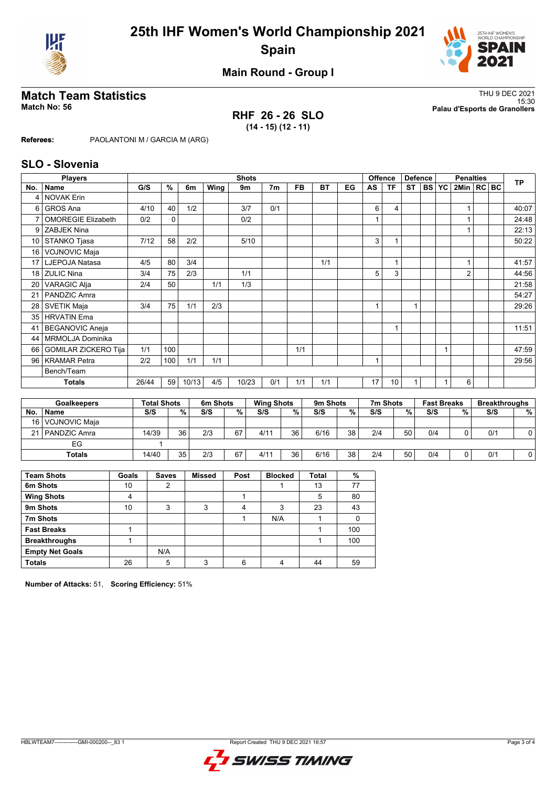



**Main Round - Group I**

**RHF 26 - 26 SLO (14 - 15) (12 - 11)**

**Match Team Statistics** Thu 9 DEC 2021 15:30 **Match No: 56 Palau d'Esports de Granollers**

**Referees:** PAOLANTONI M / GARCIA M (ARG)

## **SLO - Slovenia**

|                 | <b>Players</b>              |       |              |       |      | <b>Shots</b> |                |           |           |    |                         | Offence   | <b>Defence</b> |           |           | <b>Penalties</b> |  | <b>TP</b> |
|-----------------|-----------------------------|-------|--------------|-------|------|--------------|----------------|-----------|-----------|----|-------------------------|-----------|----------------|-----------|-----------|------------------|--|-----------|
| No.             | Name                        | G/S   | %            | 6m    | Wing | 9m           | 7 <sub>m</sub> | <b>FB</b> | <b>BT</b> | EG | AS                      | <b>TF</b> | <b>ST</b>      | <b>BS</b> | <b>YC</b> | 2Min   RC BC     |  |           |
| 4               | <b>NOVAK Erin</b>           |       |              |       |      |              |                |           |           |    |                         |           |                |           |           |                  |  |           |
| 6               | GROS Ana                    | 4/10  | 40           | 1/2   |      | 3/7          | 0/1            |           |           |    | 6                       | 4         |                |           |           |                  |  | 40:07     |
| 7               | <b>OMOREGIE Elizabeth</b>   | 0/2   | $\mathbf{0}$ |       |      | 0/2          |                |           |           |    |                         |           |                |           |           |                  |  | 24:48     |
| 9               | <b>ZABJEK Nina</b>          |       |              |       |      |              |                |           |           |    |                         |           |                |           |           |                  |  | 22:13     |
| 10              | STANKO Tjasa                | 7/12  | 58           | 2/2   |      | 5/10         |                |           |           |    | 3                       |           |                |           |           |                  |  | 50:22     |
| 16 <sup>1</sup> | <b>VOJNOVIC Maja</b>        |       |              |       |      |              |                |           |           |    |                         |           |                |           |           |                  |  |           |
| 17 <sup>1</sup> | LJEPOJA Natasa              | 4/5   | 80           | 3/4   |      |              |                |           | 1/1       |    |                         |           |                |           |           |                  |  | 41:57     |
| 18              | <b>ZULIC Nina</b>           | 3/4   | 75           | 2/3   |      | 1/1          |                |           |           |    | 5                       | 3         |                |           |           | $\overline{2}$   |  | 44:56     |
| 20              | <b>VARAGIC Alja</b>         | 2/4   | 50           |       | 1/1  | 1/3          |                |           |           |    |                         |           |                |           |           |                  |  | 21:58     |
| 21              | PANDZIC Amra                |       |              |       |      |              |                |           |           |    |                         |           |                |           |           |                  |  | 54:27     |
| 28              | <b>SVETIK Maja</b>          | 3/4   | 75           | 1/1   | 2/3  |              |                |           |           |    | $\overline{\mathbf{A}}$ |           | $\overline{1}$ |           |           |                  |  | 29:26     |
| 35              | <b>HRVATIN</b> Ema          |       |              |       |      |              |                |           |           |    |                         |           |                |           |           |                  |  |           |
| 41              | <b>BEGANOVIC Aneja</b>      |       |              |       |      |              |                |           |           |    |                         |           |                |           |           |                  |  | 11:51     |
| 44              | MRMOLJA Dominika            |       |              |       |      |              |                |           |           |    |                         |           |                |           |           |                  |  |           |
| 66              | <b>GOMILAR ZICKERO Tija</b> | 1/1   | 100          |       |      |              |                | 1/1       |           |    |                         |           |                |           |           |                  |  | 47:59     |
| 96 <sup>1</sup> | <b>KRAMAR Petra</b>         | 2/2   | 100          | 1/1   | 1/1  |              |                |           |           |    | $\overline{\mathbf{A}}$ |           |                |           |           |                  |  | 29:56     |
|                 | Bench/Team                  |       |              |       |      |              |                |           |           |    |                         |           |                |           |           |                  |  |           |
|                 | <b>Totals</b>               | 26/44 | 59           | 10/13 | 4/5  | 10/23        | 0/1            | 1/1       | 1/1       |    | 17                      | 10        |                |           |           | 6                |  |           |

|    | <b>Goalkeepers</b> | <b>Total Shots</b> |    | 6m Shots |    | <b>Wing Shots</b> |    | 9m Shots |    | 7m Shots |    | <b>Fast Breaks</b> |   | <b>Breakthroughs</b> |   |
|----|--------------------|--------------------|----|----------|----|-------------------|----|----------|----|----------|----|--------------------|---|----------------------|---|
| No | <b>Name</b>        | S/S                | %  | S/S      | %  | S/S               | %  | S/S      | %  | S/S      | %  | S/S                | % | S/S                  | % |
|    | 16   VOJNOVIC Maja |                    |    |          |    |                   |    |          |    |          |    |                    |   |                      |   |
|    | 21   PANDZIC Amra  | 14/39              | 36 | 2/3      | 67 | 4/11              | 36 | 6/16     | 38 | 2/4      | 50 | 0/4                |   | 0/1                  |   |
|    | EG                 |                    |    |          |    |                   |    |          |    |          |    |                    |   |                      |   |
|    | <b>Totals</b>      | 14/40              | 35 | 2/3      | 67 | 4/11              | 36 | 6/16     | 38 | 2/4      | 50 | 0/4                |   | 0/1                  |   |

| <b>Team Shots</b>      | Goals | <b>Saves</b> | <b>Missed</b> | Post | <b>Blocked</b> | Total | %   |
|------------------------|-------|--------------|---------------|------|----------------|-------|-----|
| 6m Shots               | 10    | 2            |               |      |                | 13    | 77  |
| <b>Wing Shots</b>      | 4     |              |               |      |                | 5     | 80  |
| 9m Shots               | 10    | 3            | 3             | 4    | 3              | 23    | 43  |
| 7m Shots               |       |              |               |      | N/A            |       | 0   |
| <b>Fast Breaks</b>     |       |              |               |      |                |       | 100 |
| <b>Breakthroughs</b>   |       |              |               |      |                |       | 100 |
| <b>Empty Net Goals</b> |       | N/A          |               |      |                |       |     |
| <b>Totals</b>          | 26    | 5            | 3             | 6    | Λ              | 44    | 59  |

**Number of Attacks:** 51, **Scoring Efficiency:** 51%